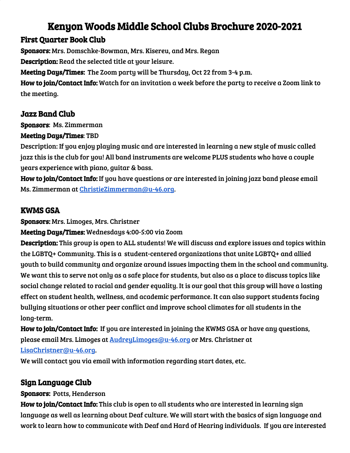# Kenyon Woods Middle School Clubs Brochure 2020-2021

## First Quarter Book Club

Sponsors: Mrs. Domschke-Bowman, Mrs. Kisereu, and Mrs. Regan Description: Read the selected title at your leisure. Meeting Days/Times: The Zoom party will be Thursday, Oct 22 from 3-4 p.m. How to join/Contact Info: Watch for an invitation a week before the party to receive a Zoom link to the meeting.

### Jazz Band Club

Sponsors: Ms. Zimmerman

#### Meeting Days/Times: TBD

Description: If you enjoy playing music and are interested in learning a new style of music called jazz this is the club for you! All band instruments are welcome PLUS students who have a couple years experience with piano, guitar & bass.

How to join/Contact Info: If you have questions or are interested in joining jazz band please email Ms. Zimmerman at [ChristieZimmerman@u-46.org](mailto:ChristieZimmerman@u-46.org).

## KWMS GSA

Sponsors: Mrs. Limoges, Mrs. Christner

Meeting Days/Times: Wednesdays 4:00-5:00 via Zoom

Description: This group is open to ALL students! We will discuss and explore issues and topics within the LGBTQ+ Community. This is a student-centered organizations that unite LGBTQ+ and allied youth to build community and organize around issues impacting them in the school and community. We want this to serve not only as a safe place for students, but also as a place to discuss topics like social change related to racial and gender equality. It is our goal that this group will have a lasting effect on student health, wellness, and academic performance. It can also support students facing bullying situations or other peer conflict and improve school climates for all students in the long-term.

How to join/Contact Info: If you are interested in joining the KWMS GSA or have any questions, please email Mrs. Limoges at [AudreyLimoges@u-46.org](mailto:AudreyLimoges@u-46.org) or Mrs. Christner at [LisaChristner@u-46.org](mailto:LisaChristner@u-46.org).

We will contact you via email with information regarding start dates, etc.

## Sign Language Club

#### Sponsors: Potts, Henderson

How to join/Contact Info: This club is open to all students who are interested in learning sign language as well as learning about Deaf culture. We will start with the basics of sign language and work to learn how to communicate with Deaf and Hard of Hearing individuals. If you are interested